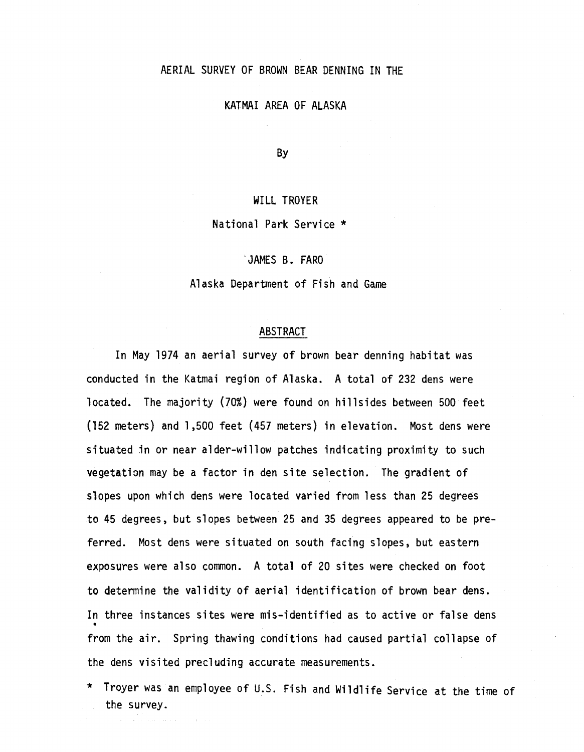## AERIAL SURVEY OF BROWN BEAR DENNING IN THE

## KATMAI AREA OF ALASKA

By

## WILL TROYER

#### National Park Service \*

JAMES B. FARO

Alaska Department of Fish and Game

### ABSTRACT

In May 1974 an aerial survey of brown bear denning habitat was conducted in the Katmai region of Alaska. A total of 232 dens were located. The majority {70%} were found on hillsides between 500 feet (152 meters} and 1,500 feet (457 meters} in elevation. Most dens were situated in or near alder-willow patches indicating proximity to such vegetation may be a factor in den site selection. The gradient of slopes upon which dens were located varied from less than 25 degrees to 45 degrees, but slopes between 25 and 35 degrees appeared to be preferred. Most dens were situated on south facing slopes, but eastern exposures were also common. A total of 20 sites were checked on foot to determine the validity of aerial identification of brown bear dens. In three instances sites were mis-identified as to active or false dens • from the air. Spring thawing conditions had caused partial collapse of the dens visited precluding accurate measurements.

\* Troyer was an employee of U.S. Fish and Wildlife Service at the time of the survey.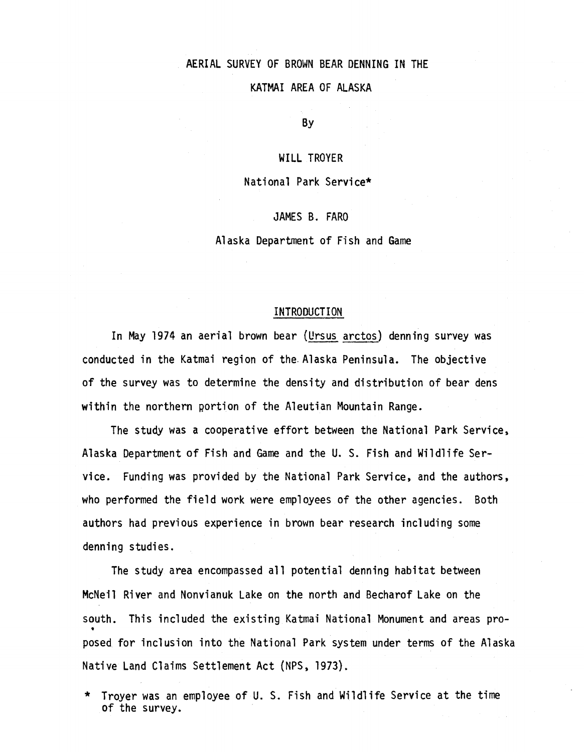# AERIAL SURVEY OF BROWN BEAR DENNING IN THE

KATMAI AREA OF ALASKA

By

## WILL TROYER

#### National Park Service\*

JAMES B. FARO

Alaska Department of Fish and Game

#### INTRODUCTION

In May 1974 an aerial brown bear {Ursus arctos) denning survey was conducted in the Katmai region of the.Alaska Peninsula. The objective of the survey was to determine the density and distribution of bear dens within the northern portion of the Aleutian Mountain Range.

The study was a cooperative effort between the National Park Service, Alaska Department of Fish and Game and the U. S. Fish and Wildlife Service. Funding was provided by the National Park Service, and the authors, who performed the field work were employees of the other agencies. Both authors had previous experience in brown bear research including some denning studies.

The study area encompassed all potential denning habitat between McNeil River and Nonvianuk Lake on the north and Becharof Lake on the south. This included the existing Katmai National Monument and areas pro • posed for inclusion into the National Park system under terms of the Alaska Native Land Claims Settlement Act (NPS, 1973).

\* Troyer was an employee of U. S. Fish and Wildlife Service at the time of the survey.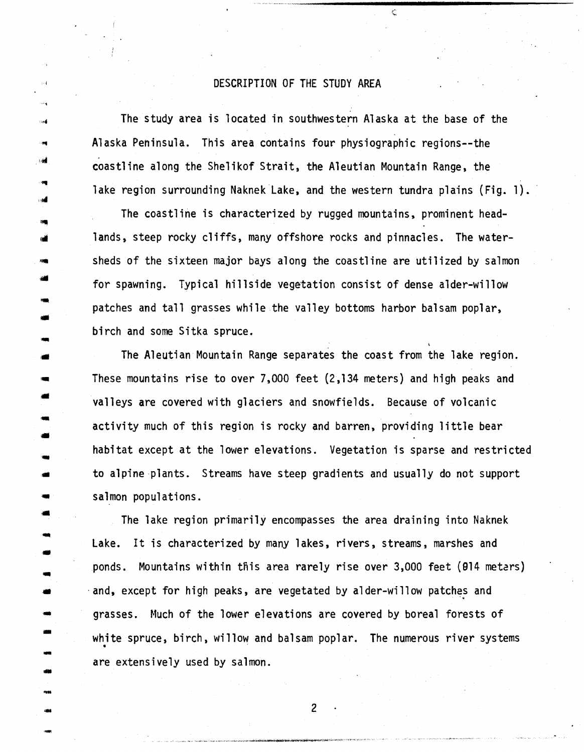## DESCRIPTION OF THE STUDY AREA

The study area is located in southwestern Alaska at the base of the Alaska Peninsula. This area contains four physiographic regions--the coastline along the Shelikof Strait, the Aleutian Mountain Range, the .. lake region surrounding Naknek Lake, and the western tundra plains (Fig. 1).

> The coastline is characterized by rugged mountains, prominent head lands, steep rocky cliffs, many offshore rocks and pinnacles. The watersheds of the sixteen major bays along the coastline are utilized by salmon for spawning. Typical hillside vegetation consist of dense alder-willow patches and tall grasses while the valley bottoms harbor balsam poplar, birch and some Sitka spruce.

'1111

**TRAN** 

ПŃ

--<br>--<br>--

-

-

The Aleutian Mountain Range separates the coast from the lake region. These mountains rise to over 7,000 feet  $(2,134$  meters) and high peaks and valleys are covered with glaciers and snowfields. Because of volcanic activity much of this region is rocky and barren, providing little bear habitat except at the lower elevations. Vegetation is sparse and restricted to alpine plants. Streams have steep gradients and usually do not support salmon populations.

The lake region primarily encompasses the area draining into Naknek Lake. It is characterized by many lakes, rivers, streams, marshes and ponds. Mountains within this area rarely rise over 3,000 feet (014 metars) and, except for high peaks, are vegetated by alder-willow patches and grasses. Much of the lower elevations are covered by boreal forests of white spruce, birch, willow and balsam poplar. The numerous river systems - • are extensively used by salmon.

- 2<br>- 2<br>- 2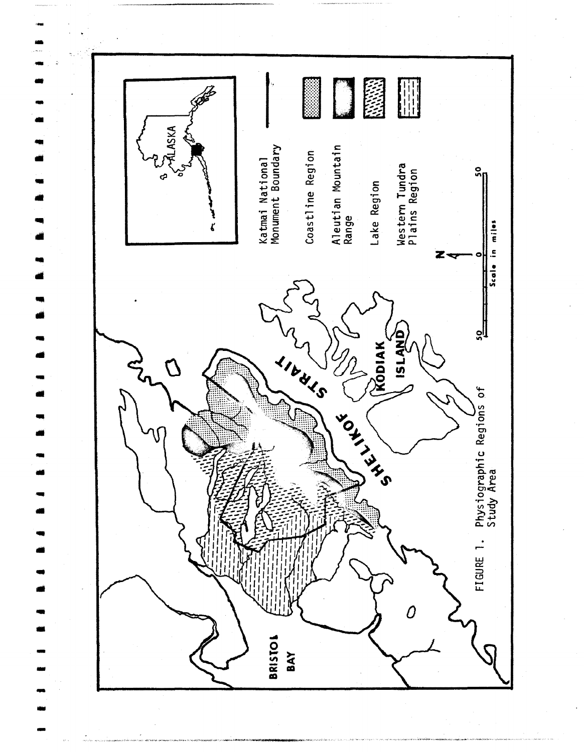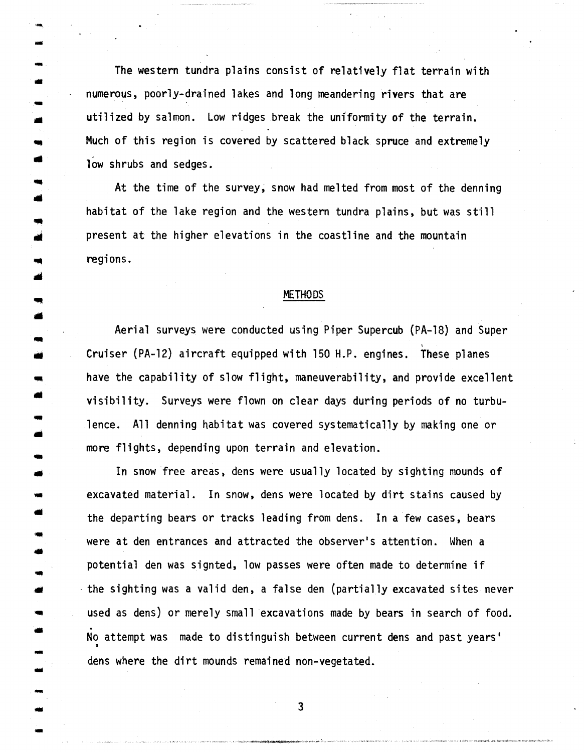The western tundra plains consist of relatively flat terrain with numerous, poorly-drained lakes and long meandering rivers that are utilized by salmon. Low ridges break the uniformity of the terrain. Much of this region is covered by scattered black spruce and extremely low shrubs and sedges.

-. -

•

..

•

-

At the time of the survey; snow had melted from most of the denning habitat of the lake region and the western tundra plains, but was still present at the higher elevations in the coastline and the mountain regions.

#### METHODS

Aerial surveys were conducted using Piper Supercub (PA-18) and Super Cruiser (PA-12) aircraft equipped with 150 H.P. engines. These planes have the capability of slow flight, maneuverability, and provide excellent visibility. Surveys were flown on clear days during periods of no turbulence. All denning habitat was covered systematically by making one or more flights, depending upon terrain and elevation.

In snow free areas, dens were usually located by sighting mounds of excavated material. In snow, dens were located by dirt stains caused by the departing bears or tracks leading from dens. In a few cases, bears were at den entrances and attracted the observer's attention. When a potential den was signted, low passes were often made to determine if ·the sighting was a valid den, a false den (partially excavated sites never used as dens) or merely small excavations made by bears in search of food. No attempt was made to distinguish between current dens and past years'  $\frac{1}{2}$   $\frac{1}{2}$   $\frac{1}{2}$   $\frac{1}{2}$   $\frac{1}{2}$   $\frac{1}{2}$   $\frac{1}{2}$   $\frac{1}{2}$   $\frac{1}{2}$   $\frac{1}{2}$   $\frac{1}{2}$   $\frac{1}{2}$   $\frac{1}{2}$   $\frac{1}{2}$   $\frac{1}{2}$   $\frac{1}{2}$   $\frac{1}{2}$   $\frac{1}{2}$   $\frac{1}{2}$   $\frac{1}{2}$   $\frac{1}{2}$   $\frac{1}{2}$  dens where the dirt mounds remained non-vegetated.

- <sup>3</sup> -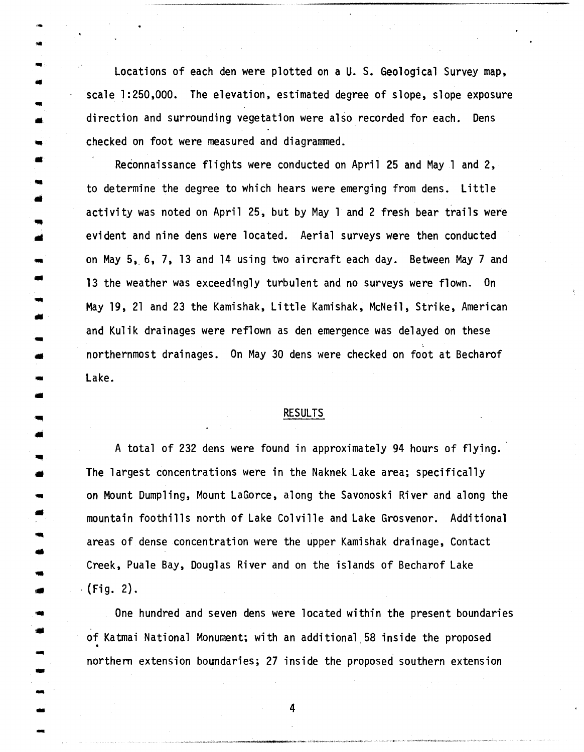Locations of each den were plotted on a U. S. Geological Survey map, - scale 1:250,000. The elevation, estimated degree of slope, slope exposure direction and surrounding vegetation were also recorded for each. Dens checked on foot were measured and diagrammed.

,.. ..

- •

..

..

--<br>--<br>--

-

Reconnaissance flights were conducted on April 25 and May 1 and 2, to determine the degree to which hears were emerging from dens. Little activity was noted on April 25, but by May 1 and 2 fresh bear trails were evident and nine dens were located. Aerial surveys were then conducted on May 5, 6, 7, 13 and 14 using two aircraft each day. Between May 7 and 13 the weather was exceedingly turbulent and no surveys were flown. On .. May 19, 21 and 23 the Kamishak, Little Kamishak, McNeil, Strike, American and Kulik drainages were reflown as den emergence was delayed on these ' • northernmost drainages. ' On May 30 dens were checked on foot at Becharof Lake.

#### RESULTS

A total of 232 dens were found in approximately 94 hours of flying. The largest concentrations were in the Naknek Lake area; specifically • on Mount Dumpling, Mount LaGorce, along the Savonoski River and along the mountain foothills north of Lake Colville and Lake Grosvenor. Additional areas of dense concentration were the upper Kamishak drainage, Contact Creek, Puale Bay, Douglas River and on the islands of Becharof Lake  $\cdot$  (Fig. 2).

One hundred and seven dens were located within the present boundaries of Katmai National Monument; with an additional 58 inside the proposed<br>
• northern extension boundaries; 27 inside the proposed southern extension

- 4<br>- 4<br>- 4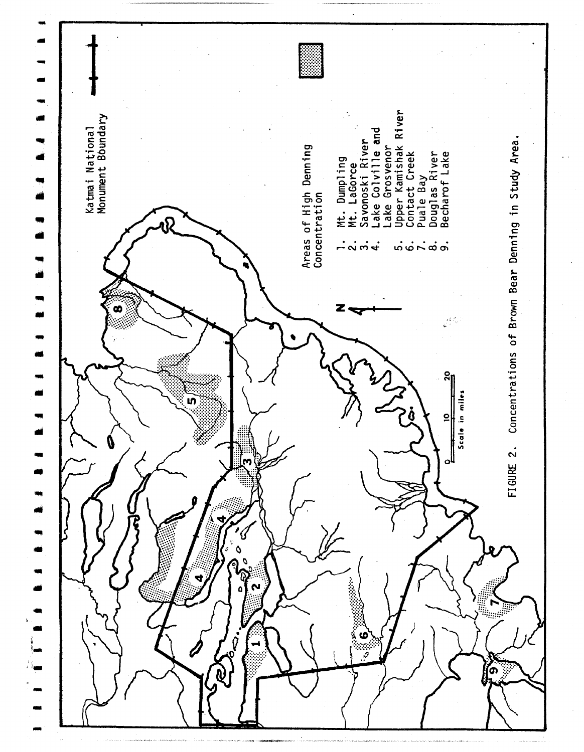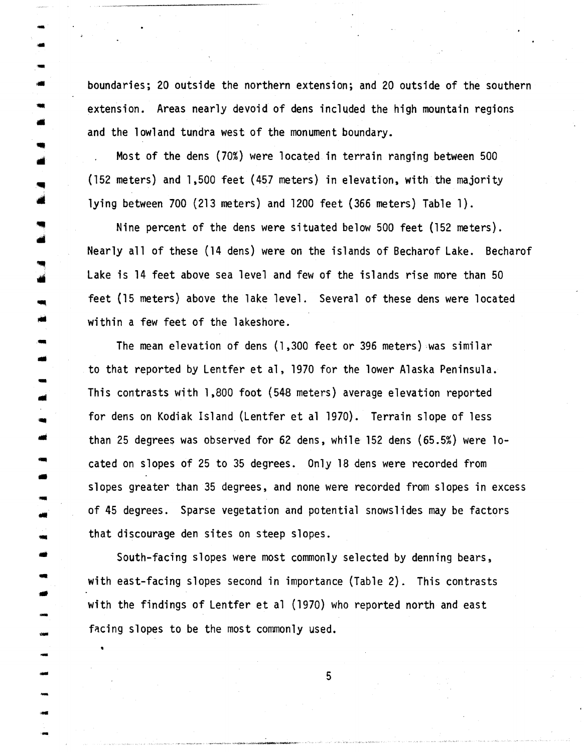• boundaries; 20 outside the northern extension; and 20 outside of the southern extension. Areas nearly devoid of dens included the high mountain regions and the lowland tundra west of the monument boundary.

Most of the dens (70%} were located in terrain ranging between 500 (152 meters) and 1,500 feet (457 meters) in elevation, with the majority lying between 700 (213 meters} and 1200 feet (366 meters) Table 1) .

• •

•<br>بد

-<br>-<br>-

-<br>-<br>-

-

-

------<br>-<br>----

-

..

Nine percent of the dens were situated below 500 feet (152 meters). Nearly all of these (14 dens} were on the islands of Becharof Lake. Becharof Lake is 14 feet above sea level and few of the islands rise more than 50 feet (15 meters) above the lake level. Several of these dens were located within a few feet of the lakeshore.

The mean elevation of dens (1,300 feet or 396 meters) was similar to that reported by Lentfer et al, 1970 for the lower Alaska Peninsula.<br>This contrasts with 1,800 foot (548 meters) average elevation reported for dens on Kodiak Island (Lentfer et al 1970}. Terrain slope of less than 25 degrees was observed for 62 dens, while 152 dens (65.5%) were located on slopes of 25 to 35 degrees. Only 18 dens were recorded from slopes greater than 35 degrees, and none were recorded from slopes in excess of 45 degrees. Sparse vegetation and potential snowslides may be factors • that discourage den sites on steep slopes.

South-facing slopes were most commonly selected by denning bears, with east-facing slopes second in importance (Table 2). This contrasts with the findings of Lentfer et al (1970) who reported north and east facing slopes to be the most commonly used.

- 5<br>- 5<br>- 5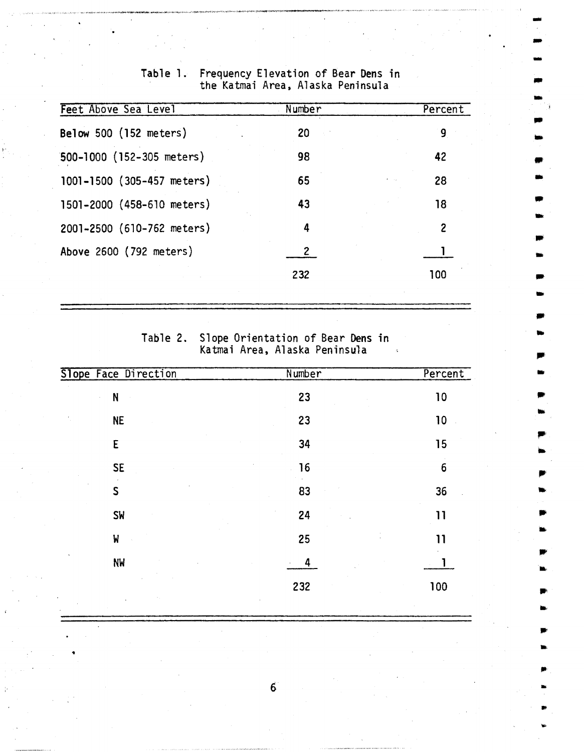| Feet Above Sea Level       | Number | Percent        |
|----------------------------|--------|----------------|
| Below 500 (152 meters)     | 20     | 9              |
| 500-1000 (152-305 meters)  | 98     | 42             |
| 1001-1500 (305-457 meters) | 65     | 28             |
| 1501-2000 (458-610 meters) | 43     | 18             |
| 2001-2500 (610-762 meters) | 4      | $\overline{2}$ |
| Above 2600 (792 meters)    |        |                |
|                            | 232    | 100            |
|                            |        |                |

# Frequency Elevation of Bear Dens in<br>the Katmai Area, Alaska Peninsula Table 1.

Slope Orientation of Bear Dens in<br>Katmai Area, Alaska Peninsula Table 2.

 $\Delta$ 

| Slope Face Direction | Number | Percent         |
|----------------------|--------|-----------------|
| N                    | 23     | 10              |
| <b>NE</b>            | 23     | 10              |
| E                    | 34     | 15              |
| <b>SE</b>            | 16     | $6\phantom{1}6$ |
| S                    | 83     | 36              |
| <b>SW</b>            | 24     | 11              |
| W                    | 25     | 11              |
| <b>NW</b>            | 4      |                 |
|                      | 232    | 100             |
|                      |        |                 |

 $\vec{6}$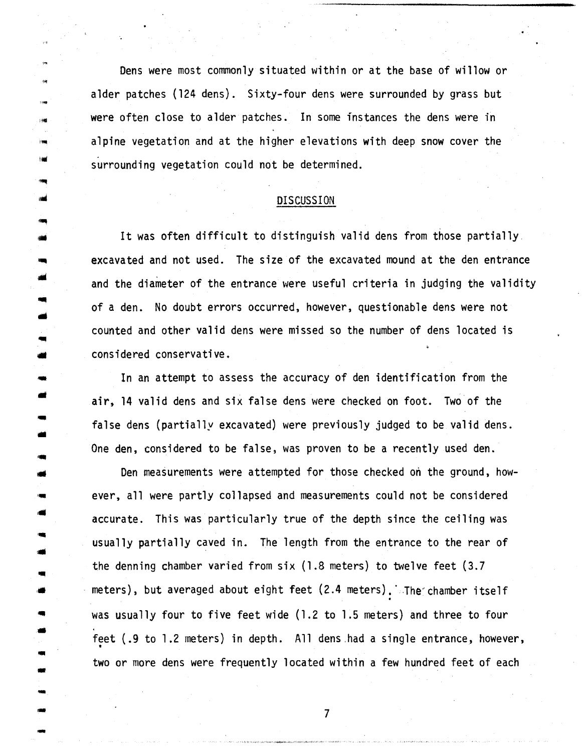Dens were most commonly situated within or at the base of willow or alder patches (124 dens). Sixty-four dens were surrounded by grass but were often close to alder patches. In some instances the dens were in alpine vegetation and at the higher elevations with deep snow cover the surrounding vegetation could not be determined.

#### DISCUSSION

It was often difficult to distinguish valid dens from those partially excavated and not used. The size of the excavated mound at the den entrance and the diameter of the entrance were useful criteria in judging the validity of a den. No doubt errors occurred, however, questionable dens were not counted and other valid dens were missed so the number of dens located is considered conservative.

 In an attempt to assess the accuracy of den identification from the air, 14 valid dens and six false dens were checked on foot. Two of the false dens (partially excavated) were previously judged to be valid dens. One den, considered to be false, was proven to be a recently used den.

Den measurements were attempted for those checked on the ground, however, all were partly collapsed and measurements could not be considered accurate. This was particularly true of the depth since the ceiling was usually partially caved in. The length from the entrance to the rear of the denning chamber varied from six (1.8 meters) to twelve feet (3.7 • meters), but averaged about eight feet (2.4 meters). The chamber itself was usually four to five feet wide (1.2 to 1.5 meters) and three to four feet (.9 to 1.2 meters) in depth. All dens had a single entrance, however, - • two or more dens were frequently located within a few hundred feet of each

••

--<br>--<br>--

小编

-

--<br>-<br>-

-

 $-$ <br> $-$ <br> $-$  7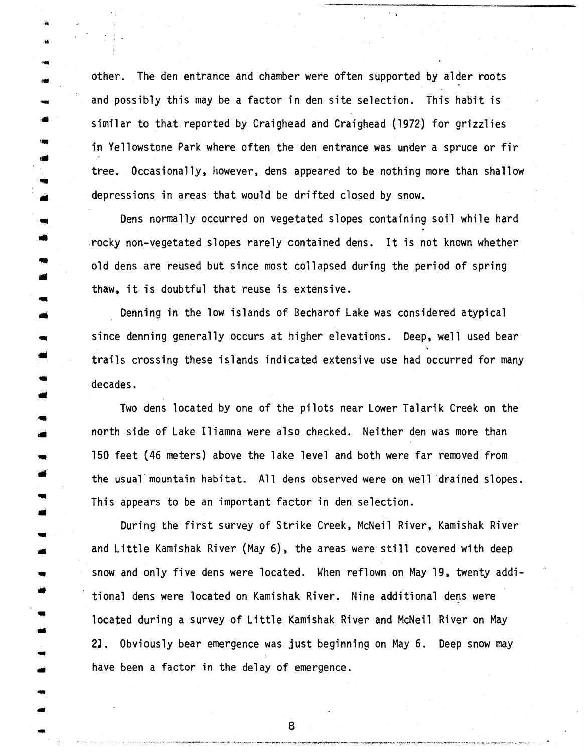other. The den entrance and chamber were often supported by alder roots and possibly this may be a factor in den site selection. This habit is similar to that reported by Craighead and Craighead (1972) for grizzlies in Yellowstone Park where often the den entrance was under a spruce or fir tree. Occasionally, however, dens appeared to be nothing more than shallow depressions in areas that would be drifted closed by snow.

...

•

-

Dens normally occurred on vegetated slopes containing soil while hard • rocky non-vegetated slopes rarely contained dens. It is not known whether old dens are reused but since most collapsed during the period of spring thaw, it is doubtful that reuse is extensive.

Denning in the low islands of Becharof Lake was considered atypical since denning generally occurs at higher elevations. Deep, well used bear trails crossing these islands indicated extensive use had occurred for many decades.

Two dens located by one of the pilots near Lower Talarik Creek on the north side of Lake Iliamna were also checked. Neither den was more than 150 feet (46 meters) above the lake level and both were far removed from the usual mountain habitat. All dens observed were on well drained slopes. This appears to be an important factor in den selection.

During the first survey of Strike Creek, McNeil River, Kamishak River and Little Kamishak River (May 6), the areas were still covered with deep snow and only five dens were located. When reflown on May 19, twenty additional dens were located on Kamishak River. Nine additional dens were located during a survey of Little Kamishak River and McNeil River on May 21. Obviously bear emergence was just beginning on May 6. Deep snow may have been a factor in the delay of emergence.

 $\overline{\phantom{a}}$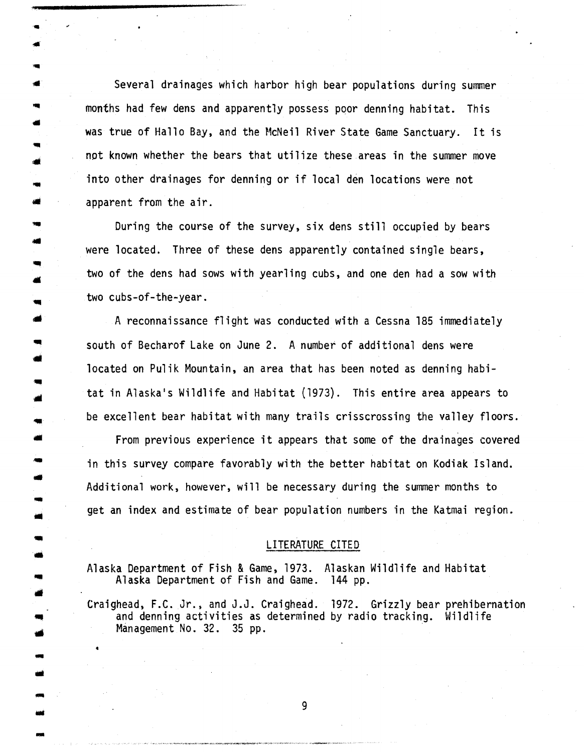Several drainages which harbor high bear populations during summer months had few dens and apparently possess poor denning habitat. This was true of Hallo Bay, and the McNeil River State Game Sanctuary. It is not known whether the bears that utilize these areas in the summer move into other drainages for denning or if local den locations were not apparent from the air.

During the course of the survey, six dens still occupied by bears were located. Three of these dens apparently contained single bears, two of the dens had sows with yearling cubs, and one den had a sow with two cubs-of-the-year.

A reconnaissance flight was conducted with a Cessna 185 immediately south of Becharof Lake on June 2. A number of additional dens were located on Pulik Mountain, an area that has been noted as denning habi tat in Alaska's Wildlife and Habitat (1973). This entire area appears to be excellent bear habitat with many trails crisscrossing the valley floors .

..

•

-

and<br>-<br>-<br>-

From previous experience it appears that some of the drainages covered in this survey compare favorably with the better habitat on Kodiak Island. • Additional work, however, will be necessary during the summer months to get an index and estimate of bear population numbers in the Katmai region.

#### LITERATURE CITED

Alaska Department of Fish & Game, 1973. Alaskan Wildlife and Habitat Alaska Department of Fish and Game. 144 pp.

Craighead, F.C. Jr., and J.J. Craighead. 1972. Grizzly bear prehibernation<br>and denning activities as determined by radio tracking. Wildlife<br>Management No. 32. 35 pp. - •

- 9<br>- 9 (1990) - 9 (1990) - 9 (1990) - 9 (1990) - 9 (1990) - 9 (1990) - 9 (1990) - 9 (1990) - 9 (1990) - 9 (1990)<br>- 9 (1990) - 9 (1990) - 9 (1990) - 9 (1990) - 9 (1990) - 9 (1990) - 9 (1990) - 9 (1990) - 9 (1990) - 9 (1990